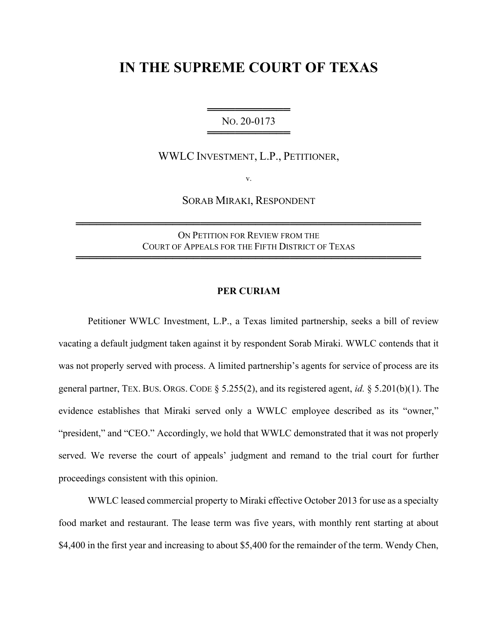## IN THE SUPREME COURT OF TEXAS

═══════════════════════ NO. 20-0173 ═══════════════════════════════

WWLC INVESTMENT, L.P., PETITIONER,

v.

SORAB MIRAKI, RESPONDENT

ON PETITION FOR REVIEW FROM THE COURT OF APPEALS FOR THE FIFTH DISTRICT OF TEXAS

══════════════════════════════════════════════════

══════════════════════════════════════════════════

## PER CURIAM

Petitioner WWLC Investment, L.P., a Texas limited partnership, seeks a bill of review vacating a default judgment taken against it by respondent Sorab Miraki. WWLC contends that it was not properly served with process. A limited partnership's agents for service of process are its general partner, TEX. BUS. ORGS. CODE § 5.255(2), and its registered agent, id. § 5.201(b)(1). The evidence establishes that Miraki served only a WWLC employee described as its "owner," "president," and "CEO." Accordingly, we hold that WWLC demonstrated that it was not properly served. We reverse the court of appeals' judgment and remand to the trial court for further proceedings consistent with this opinion.

 WWLC leased commercial property to Miraki effective October 2013 for use as a specialty food market and restaurant. The lease term was five years, with monthly rent starting at about \$4,400 in the first year and increasing to about \$5,400 for the remainder of the term. Wendy Chen,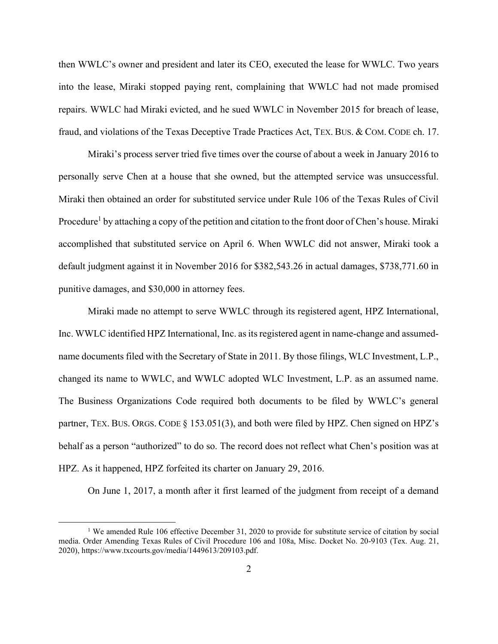then WWLC's owner and president and later its CEO, executed the lease for WWLC. Two years into the lease, Miraki stopped paying rent, complaining that WWLC had not made promised repairs. WWLC had Miraki evicted, and he sued WWLC in November 2015 for breach of lease, fraud, and violations of the Texas Deceptive Trade Practices Act, TEX. BUS. & COM. CODE ch. 17.

 Miraki's process server tried five times over the course of about a week in January 2016 to personally serve Chen at a house that she owned, but the attempted service was unsuccessful. Miraki then obtained an order for substituted service under Rule 106 of the Texas Rules of Civil Procedure<sup>1</sup> by attaching a copy of the petition and citation to the front door of Chen's house. Miraki accomplished that substituted service on April 6. When WWLC did not answer, Miraki took a default judgment against it in November 2016 for \$382,543.26 in actual damages, \$738,771.60 in punitive damages, and \$30,000 in attorney fees.

 Miraki made no attempt to serve WWLC through its registered agent, HPZ International, Inc. WWLC identified HPZ International, Inc. as its registered agent in name-change and assumedname documents filed with the Secretary of State in 2011. By those filings, WLC Investment, L.P., changed its name to WWLC, and WWLC adopted WLC Investment, L.P. as an assumed name. The Business Organizations Code required both documents to be filed by WWLC's general partner, TEX. BUS. ORGS. CODE § 153.051(3), and both were filed by HPZ. Chen signed on HPZ's behalf as a person "authorized" to do so. The record does not reflect what Chen's position was at HPZ. As it happened, HPZ forfeited its charter on January 29, 2016.

On June 1, 2017, a month after it first learned of the judgment from receipt of a demand

<sup>&</sup>lt;sup>1</sup> We amended Rule 106 effective December 31, 2020 to provide for substitute service of citation by social media. Order Amending Texas Rules of Civil Procedure 106 and 108a, Misc. Docket No. 20-9103 (Tex. Aug. 21, 2020), https://www.txcourts.gov/media/1449613/209103.pdf.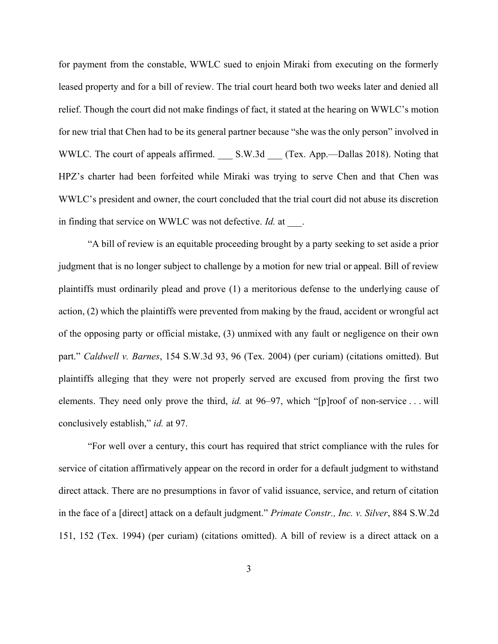for payment from the constable, WWLC sued to enjoin Miraki from executing on the formerly leased property and for a bill of review. The trial court heard both two weeks later and denied all relief. Though the court did not make findings of fact, it stated at the hearing on WWLC's motion for new trial that Chen had to be its general partner because "she was the only person" involved in WWLC. The court of appeals affirmed. \_\_\_ S.W.3d \_\_\_ (Tex. App.—Dallas 2018). Noting that HPZ's charter had been forfeited while Miraki was trying to serve Chen and that Chen was WWLC's president and owner, the court concluded that the trial court did not abuse its discretion in finding that service on WWLC was not defective. Id. at ...

 "A bill of review is an equitable proceeding brought by a party seeking to set aside a prior judgment that is no longer subject to challenge by a motion for new trial or appeal. Bill of review plaintiffs must ordinarily plead and prove (1) a meritorious defense to the underlying cause of action, (2) which the plaintiffs were prevented from making by the fraud, accident or wrongful act of the opposing party or official mistake, (3) unmixed with any fault or negligence on their own part." Caldwell v. Barnes, 154 S.W.3d 93, 96 (Tex. 2004) (per curiam) (citations omitted). But plaintiffs alleging that they were not properly served are excused from proving the first two elements. They need only prove the third, *id.* at 96–97, which "[p]roof of non-service . . . will conclusively establish," *id.* at 97.

 "For well over a century, this court has required that strict compliance with the rules for service of citation affirmatively appear on the record in order for a default judgment to withstand direct attack. There are no presumptions in favor of valid issuance, service, and return of citation in the face of a [direct] attack on a default judgment." Primate Constr., Inc. v. Silver, 884 S.W.2d 151, 152 (Tex. 1994) (per curiam) (citations omitted). A bill of review is a direct attack on a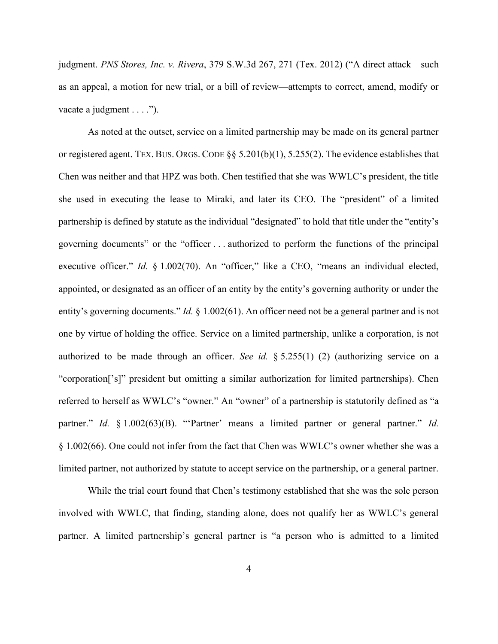judgment. PNS Stores, Inc. v. Rivera, 379 S.W.3d 267, 271 (Tex. 2012) ("A direct attack—such as an appeal, a motion for new trial, or a bill of review—attempts to correct, amend, modify or vacate a judgment . . . .").

 As noted at the outset, service on a limited partnership may be made on its general partner or registered agent. TEX. BUS. ORGS. CODE  $\S$ § 5.201(b)(1), 5.255(2). The evidence establishes that Chen was neither and that HPZ was both. Chen testified that she was WWLC's president, the title she used in executing the lease to Miraki, and later its CEO. The "president" of a limited partnership is defined by statute as the individual "designated" to hold that title under the "entity's governing documents" or the "officer . . . authorized to perform the functions of the principal executive officer." Id. § 1.002(70). An "officer," like a CEO, "means an individual elected, appointed, or designated as an officer of an entity by the entity's governing authority or under the entity's governing documents."  $Id. \S$  1.002(61). An officer need not be a general partner and is not one by virtue of holding the office. Service on a limited partnership, unlike a corporation, is not authorized to be made through an officer. See id.  $§ 5.255(1)–(2)$  (authorizing service on a "corporation['s]" president but omitting a similar authorization for limited partnerships). Chen referred to herself as WWLC's "owner." An "owner" of a partnership is statutorily defined as "a partner." Id. § 1.002(63)(B). "'Partner' means a limited partner or general partner." Id. § 1.002(66). One could not infer from the fact that Chen was WWLC's owner whether she was a limited partner, not authorized by statute to accept service on the partnership, or a general partner.

 While the trial court found that Chen's testimony established that she was the sole person involved with WWLC, that finding, standing alone, does not qualify her as WWLC's general partner. A limited partnership's general partner is "a person who is admitted to a limited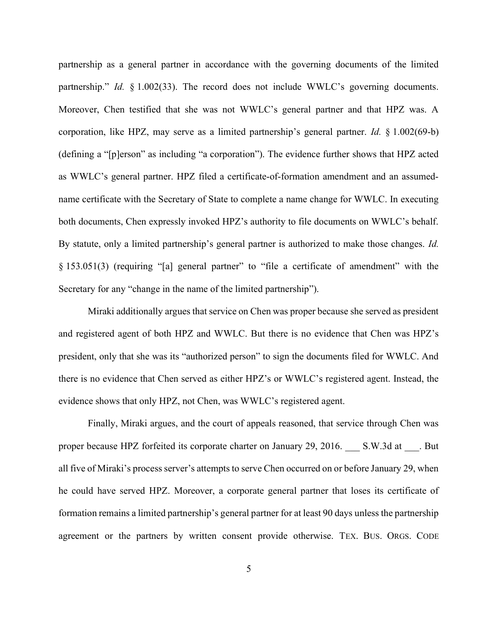partnership as a general partner in accordance with the governing documents of the limited partnership." *Id.* § 1.002(33). The record does not include WWLC's governing documents. Moreover, Chen testified that she was not WWLC's general partner and that HPZ was. A corporation, like HPZ, may serve as a limited partnership's general partner. Id. § 1.002(69-b) (defining a "[p]erson" as including "a corporation"). The evidence further shows that HPZ acted as WWLC's general partner. HPZ filed a certificate-of-formation amendment and an assumedname certificate with the Secretary of State to complete a name change for WWLC. In executing both documents, Chen expressly invoked HPZ's authority to file documents on WWLC's behalf. By statute, only a limited partnership's general partner is authorized to make those changes. Id. § 153.051(3) (requiring "[a] general partner" to "file a certificate of amendment" with the Secretary for any "change in the name of the limited partnership").

 Miraki additionally argues that service on Chen was proper because she served as president and registered agent of both HPZ and WWLC. But there is no evidence that Chen was HPZ's president, only that she was its "authorized person" to sign the documents filed for WWLC. And there is no evidence that Chen served as either HPZ's or WWLC's registered agent. Instead, the evidence shows that only HPZ, not Chen, was WWLC's registered agent.

 Finally, Miraki argues, and the court of appeals reasoned, that service through Chen was proper because HPZ forfeited its corporate charter on January 29, 2016. S.W.3d at . But all five of Miraki's process server's attempts to serve Chen occurred on or before January 29, when he could have served HPZ. Moreover, a corporate general partner that loses its certificate of formation remains a limited partnership's general partner for at least 90 days unless the partnership agreement or the partners by written consent provide otherwise. TEX. BUS. ORGS. CODE